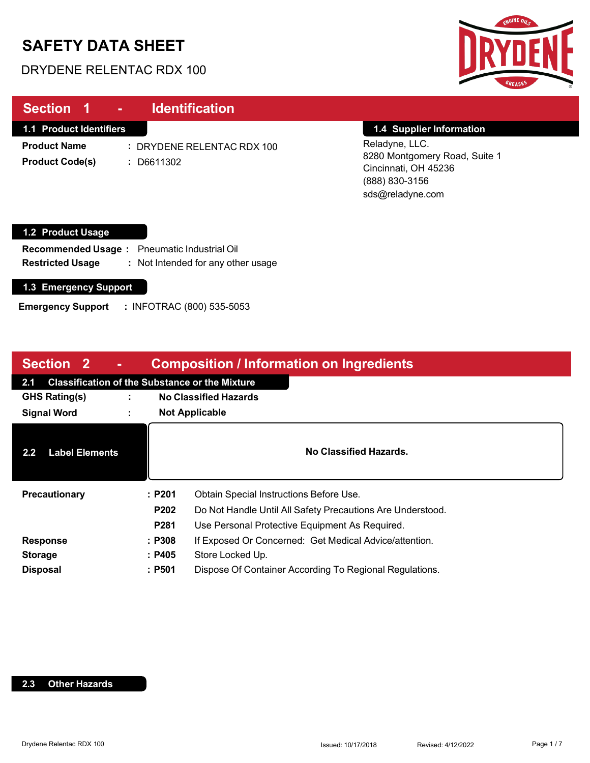# **SAFETY DATA SHEET**

DRYDENE RELENTAC RDX 100



| Section 1<br><b>Identification</b><br>٠                                                                                       |                                                                                                               |
|-------------------------------------------------------------------------------------------------------------------------------|---------------------------------------------------------------------------------------------------------------|
| <b>1.1 Product Identifiers</b>                                                                                                | 1.4 Supplier Information                                                                                      |
| <b>Product Name</b><br>: DRYDENE RELENTAC RDX 100<br><b>Product Code(s)</b><br>D6611302                                       | Reladyne, LLC.<br>8280 Montgomery Road, Suite 1<br>Cincinnati, OH 45236<br>(888) 830-3156<br>sds@reladyne.com |
| <b>1.2 Product Usage</b>                                                                                                      |                                                                                                               |
| <b>Pneumatic Industrial Oil</b><br><b>Recommended Usage:</b><br><b>Restricted Usage</b><br>: Not Intended for any other usage |                                                                                                               |

#### **1.3 Emergency Support**

**Emergency Support :** INFOTRAC (800) 535-5053

| Section 2<br><b>Composition / Information on Ingredients</b><br>$\sim$ |                                                       |                                                                    |                                                         |  |  |
|------------------------------------------------------------------------|-------------------------------------------------------|--------------------------------------------------------------------|---------------------------------------------------------|--|--|
| 2.1                                                                    | <b>Classification of the Substance or the Mixture</b> |                                                                    |                                                         |  |  |
| <b>GHS Rating(s)</b>                                                   |                                                       |                                                                    | <b>No Classified Hazards</b>                            |  |  |
| <b>Signal Word</b>                                                     |                                                       | <b>Not Applicable</b>                                              |                                                         |  |  |
| <b>Label Elements</b><br>$2.2\phantom{0}$                              |                                                       |                                                                    | No Classified Hazards.                                  |  |  |
| <b>Precautionary</b>                                                   |                                                       | :P201                                                              | Obtain Special Instructions Before Use.                 |  |  |
|                                                                        |                                                       | P202<br>Do Not Handle Until All Safety Precautions Are Understood. |                                                         |  |  |
|                                                                        |                                                       | P281<br>Use Personal Protective Equipment As Required.             |                                                         |  |  |
| <b>Response</b>                                                        |                                                       | : P308                                                             | If Exposed Or Concerned: Get Medical Advice/attention.  |  |  |
| <b>Storage</b>                                                         |                                                       | : P405                                                             | Store Locked Up.                                        |  |  |
| <b>Disposal</b>                                                        |                                                       | :P501                                                              | Dispose Of Container According To Regional Regulations. |  |  |

#### **2.3 Other Hazards**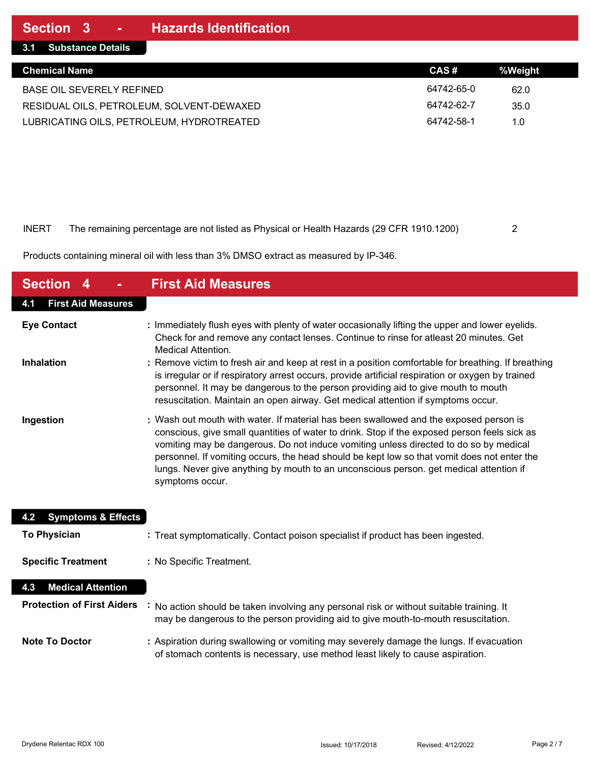| <b>Chemical Name</b>                      | CAS#       | %Weight |
|-------------------------------------------|------------|---------|
| BASE OIL SEVERELY REFINED                 | 64742-65-0 | 62.0    |
| RESIDUAL OILS, PETROLEUM, SOLVENT-DEWAXED | 64742-62-7 | 35.0    |
| LUBRICATING OILS, PETROLEUM, HYDROTREATED | 64742-58-1 | 1.0     |

#### INERT The remaining percentage are not listed as Physical or Health Hazards (29 CFR 1910.1200) 2

Products containing mineral oil with less than 3% DMSO extract as measured by IP-346.

| <b>Section 4</b>                     | <b>First Aid Measures</b>                                                                                                                                                                                                                                                                                                                                                                                                                                                                  |
|--------------------------------------|--------------------------------------------------------------------------------------------------------------------------------------------------------------------------------------------------------------------------------------------------------------------------------------------------------------------------------------------------------------------------------------------------------------------------------------------------------------------------------------------|
| <b>First Aid Measures</b><br>4.1     |                                                                                                                                                                                                                                                                                                                                                                                                                                                                                            |
| <b>Eye Contact</b>                   | : Immediately flush eyes with plenty of water occasionally lifting the upper and lower eyelids.<br>Check for and remove any contact lenses. Continue to rinse for atleast 20 minutes. Get<br><b>Medical Attention.</b>                                                                                                                                                                                                                                                                     |
| <b>Inhalation</b>                    | : Remove victim to fresh air and keep at rest in a position comfortable for breathing. If breathing<br>is irregular or if respiratory arrest occurs, provide artificial respiration or oxygen by trained<br>personnel. It may be dangerous to the person providing aid to give mouth to mouth<br>resuscitation. Maintain an open airway. Get medical attention if symptoms occur.                                                                                                          |
| Ingestion                            | : Wash out mouth with water. If material has been swallowed and the exposed person is<br>conscious, give small quantities of water to drink. Stop if the exposed person feels sick as<br>vomiting may be dangerous. Do not induce vomiting unless directed to do so by medical<br>personnel. If vomiting occurs, the head should be kept low so that vomit does not enter the<br>lungs. Never give anything by mouth to an unconscious person. get medical attention if<br>symptoms occur. |
| <b>Symptoms &amp; Effects</b><br>4.2 |                                                                                                                                                                                                                                                                                                                                                                                                                                                                                            |
| <b>To Physician</b>                  | : Treat symptomatically. Contact poison specialist if product has been ingested.                                                                                                                                                                                                                                                                                                                                                                                                           |
| <b>Specific Treatment</b>            | : No Specific Treatment.                                                                                                                                                                                                                                                                                                                                                                                                                                                                   |
| <b>Medical Attention</b><br>4.3      |                                                                                                                                                                                                                                                                                                                                                                                                                                                                                            |
| <b>Protection of First Aiders</b>    | No action should be taken involving any personal risk or without suitable training. It<br>may be dangerous to the person providing aid to give mouth-to-mouth resuscitation.                                                                                                                                                                                                                                                                                                               |
| <b>Note To Doctor</b>                | : Aspiration during swallowing or vomiting may severely damage the lungs. If evacuation<br>of stomach contents is necessary, use method least likely to cause aspiration.                                                                                                                                                                                                                                                                                                                  |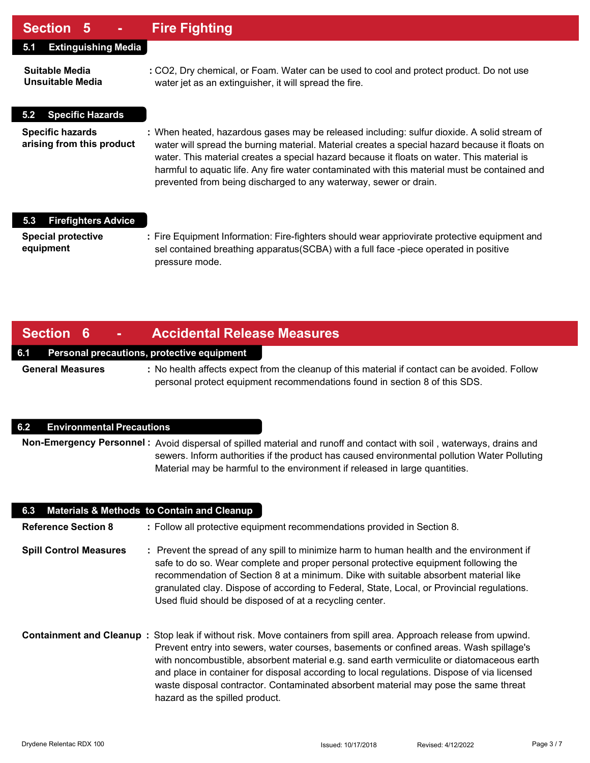### **Section 5 - Fire Fighting**

| UUUNUI V                                             |                                                                                                                                                                                                                                                                                                                                                                                                                                                                  |
|------------------------------------------------------|------------------------------------------------------------------------------------------------------------------------------------------------------------------------------------------------------------------------------------------------------------------------------------------------------------------------------------------------------------------------------------------------------------------------------------------------------------------|
| <b>Extinguishing Media</b><br>5.1                    |                                                                                                                                                                                                                                                                                                                                                                                                                                                                  |
| Suitable Media<br>Unsuitable Media                   | : CO2, Dry chemical, or Foam. Water can be used to cool and protect product. Do not use<br>water jet as an extinguisher, it will spread the fire.                                                                                                                                                                                                                                                                                                                |
| <b>Specific Hazards</b><br>5.2                       |                                                                                                                                                                                                                                                                                                                                                                                                                                                                  |
| <b>Specific hazards</b><br>arising from this product | : When heated, hazardous gases may be released including: sulfur dioxide. A solid stream of<br>water will spread the burning material. Material creates a special hazard because it floats on<br>water. This material creates a special hazard because it floats on water. This material is<br>harmful to aquatic life. Any fire water contaminated with this material must be contained and<br>prevented from being discharged to any waterway, sewer or drain. |
| <b>Firefighters Advice</b><br>5.3                    |                                                                                                                                                                                                                                                                                                                                                                                                                                                                  |
| <b>Special protective</b><br>equipment               | : Fire Equipment Information: Fire-fighters should wear appriovirate protective equipment and<br>sel contained breathing apparatus (SCBA) with a full face -piece operated in positive<br>pressure mode.                                                                                                                                                                                                                                                         |

### **Section 6 - Accidental Release Measures**

#### **6.1 Personal precautions, protective equipment**

**General Measures :** No health affects expect from the cleanup of this material if contact can be avoided. Follow personal protect equipment recommendations found in section 8 of this SDS.

#### **6.2 Environmental Precautions**

**Non-Emergency Personnel :** Avoid dispersal of spilled material and runoff and contact with soil , waterways, drains and sewers. Inform authorities if the product has caused environmental pollution Water Polluting Material may be harmful to the environment if released in large quantities.

| 6.3 Materials & Methods to Contain and Cleanup |                                                                                                                                                                                                                                                                                                                                                                                                                                                                                                                                   |  |  |
|------------------------------------------------|-----------------------------------------------------------------------------------------------------------------------------------------------------------------------------------------------------------------------------------------------------------------------------------------------------------------------------------------------------------------------------------------------------------------------------------------------------------------------------------------------------------------------------------|--|--|
| <b>Reference Section 8</b>                     | : Follow all protective equipment recommendations provided in Section 8.                                                                                                                                                                                                                                                                                                                                                                                                                                                          |  |  |
| <b>Spill Control Measures</b>                  | : Prevent the spread of any spill to minimize harm to human health and the environment if<br>safe to do so. Wear complete and proper personal protective equipment following the<br>recommendation of Section 8 at a minimum. Dike with suitable absorbent material like<br>granulated clay. Dispose of according to Federal, State, Local, or Provincial regulations.<br>Used fluid should be disposed of at a recycling center.                                                                                                 |  |  |
|                                                | Containment and Cleanup: Stop leak if without risk. Move containers from spill area. Approach release from upwind.<br>Prevent entry into sewers, water courses, basements or confined areas. Wash spillage's<br>with noncombustible, absorbent material e.g. sand earth vermiculite or diatomaceous earth<br>and place in container for disposal according to local regulations. Dispose of via licensed<br>waste disposal contractor. Contaminated absorbent material may pose the same threat<br>hazard as the spilled product. |  |  |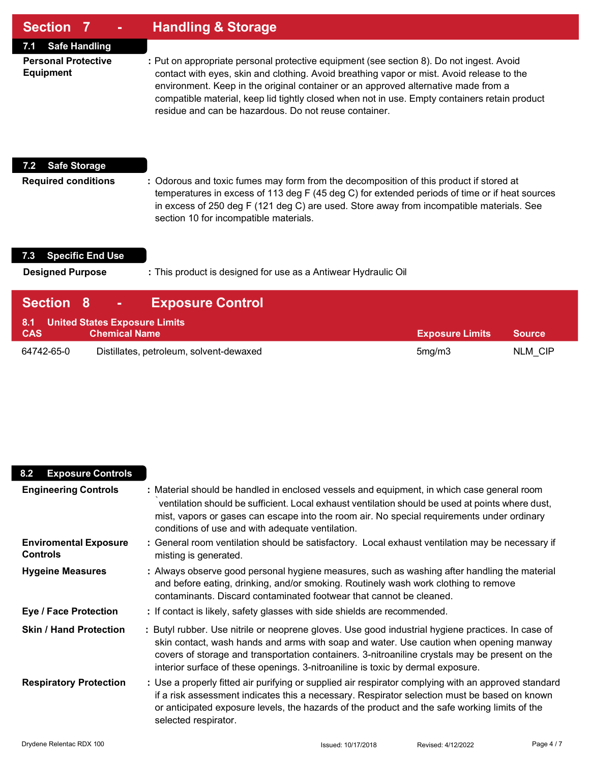| Section 7<br>۰                                 | <b>Handling &amp; Storage</b>                                                                                                                                                                                                                                                                                                                                                                                                         |
|------------------------------------------------|---------------------------------------------------------------------------------------------------------------------------------------------------------------------------------------------------------------------------------------------------------------------------------------------------------------------------------------------------------------------------------------------------------------------------------------|
| <b>Safe Handling</b><br>7.1                    |                                                                                                                                                                                                                                                                                                                                                                                                                                       |
| <b>Personal Protective</b><br><b>Equipment</b> | : Put on appropriate personal protective equipment (see section 8). Do not ingest. Avoid<br>contact with eyes, skin and clothing. Avoid breathing vapor or mist. Avoid release to the<br>environment. Keep in the original container or an approved alternative made from a<br>compatible material, keep lid tightly closed when not in use. Empty containers retain product<br>residue and can be hazardous. Do not reuse container. |
| <b>Safe Storage</b><br>7.2                     |                                                                                                                                                                                                                                                                                                                                                                                                                                       |
| <b>Required conditions</b>                     | : Odorous and toxic fumes may form from the decomposition of this product if stored at<br>temperatures in excess of 113 deg F (45 deg C) for extended periods of time or if heat sources<br>in excess of 250 deg F (121 deg C) are used. Store away from incompatible materials. See<br>section 10 for incompatible materials.                                                                                                        |

## **7.3 Specific End Use**

Г

**Designed Purpose :** This product is designed for use as a Antiwear Hydraulic Oil

| <b>Section 8</b>                                | <b>Contract Contract</b> | <b>Exposure Control!</b>                |                        |               |
|-------------------------------------------------|--------------------------|-----------------------------------------|------------------------|---------------|
| 8.1 United States Exposure Limits<br><b>CAS</b> | <b>Chemical Name</b>     |                                         | <b>Exposure Limits</b> | <b>Source</b> |
| 64742-65-0                                      |                          | Distillates, petroleum, solvent-dewaxed | 5mg/m3                 | NLM CIP       |

| <b>Exposure Controls</b><br>8.2                 |                                                                                                                                                                                                                                                                                                                                                                                  |
|-------------------------------------------------|----------------------------------------------------------------------------------------------------------------------------------------------------------------------------------------------------------------------------------------------------------------------------------------------------------------------------------------------------------------------------------|
| <b>Engineering Controls</b>                     | : Material should be handled in enclosed vessels and equipment, in which case general room<br>ventilation should be sufficient. Local exhaust ventilation should be used at points where dust,<br>mist, vapors or gases can escape into the room air. No special requirements under ordinary<br>conditions of use and with adequate ventilation.                                 |
| <b>Enviromental Exposure</b><br><b>Controls</b> | : General room ventilation should be satisfactory. Local exhaust ventilation may be necessary if<br>misting is generated.                                                                                                                                                                                                                                                        |
| <b>Hygeine Measures</b>                         | : Always observe good personal hygiene measures, such as washing after handling the material<br>and before eating, drinking, and/or smoking. Routinely wash work clothing to remove<br>contaminants. Discard contaminated footwear that cannot be cleaned.                                                                                                                       |
| <b>Eye / Face Protection</b>                    | : If contact is likely, safety glasses with side shields are recommended.                                                                                                                                                                                                                                                                                                        |
| <b>Skin / Hand Protection</b>                   | : Butyl rubber. Use nitrile or neoprene gloves. Use good industrial hygiene practices. In case of<br>skin contact, wash hands and arms with soap and water. Use caution when opening manway<br>covers of storage and transportation containers. 3-nitroaniline crystals may be present on the<br>interior surface of these openings. 3-nitroaniline is toxic by dermal exposure. |
| <b>Respiratory Protection</b>                   | : Use a properly fitted air purifying or supplied air respirator complying with an approved standard<br>if a risk assessment indicates this a necessary. Respirator selection must be based on known<br>or anticipated exposure levels, the hazards of the product and the safe working limits of the<br>selected respirator.                                                    |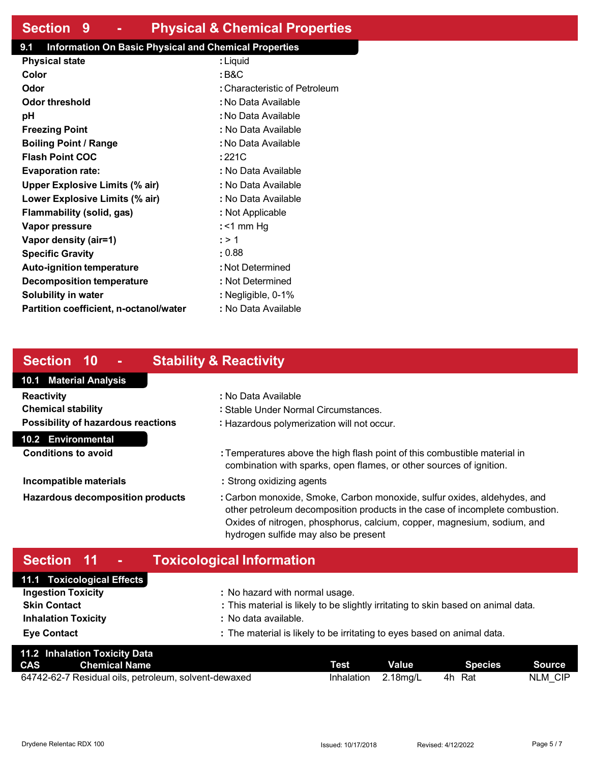### **Section 9 - Physical & Chemical Properties**

#### **9.1 Information On Basic Physical and Chemical Properties**

| <b>Physical state</b>                  | : Liquid                      |
|----------------------------------------|-------------------------------|
| Color                                  | : B&C                         |
| Odor                                   | : Characteristic of Petroleum |
| Odor threshold                         | : No Data Available           |
| рH                                     | : No Data Available           |
| <b>Freezing Point</b>                  | : No Data Available           |
| <b>Boiling Point / Range</b>           | : No Data Available           |
| <b>Flash Point COC</b>                 | : 221C                        |
| <b>Evaporation rate:</b>               | : No Data Available           |
| <b>Upper Explosive Limits (% air)</b>  | : No Data Available           |
| Lower Explosive Limits (% air)         | : No Data Available           |
| <b>Flammability (solid, gas)</b>       | : Not Applicable              |
| Vapor pressure                         | : <1 mm Hq                    |
| Vapor density (air=1)                  | : > 1                         |
| <b>Specific Gravity</b>                | : 0.88                        |
| <b>Auto-ignition temperature</b>       | : Not Determined              |
| <b>Decomposition temperature</b>       | : Not Determined              |
| Solubility in water                    | : Negligible, 0-1%            |
| Partition coefficient, n-octanol/water | : No Data Available           |

### **Section 10 - Stability & Reactivity**

### **10.1 Material Analysis 10.2 Environmental Reactivity :** No Data Available **Chemical stability :** Stable Under Normal Circumstances. **Possibility of hazardous reactions :** Hazardous polymerization will not occur. **Conditions to avoid :** Temperatures above the high flash point of this combustible material in combination with sparks, open flames, or other sources of ignition.

- **Incompatible materials :** Strong oxidizing agents
- **Hazardous decomposition products :** Carbon monoxide, Smoke, Carbon monoxide, sulfur oxides, aldehydes, and other petroleum decomposition products in the case of incomplete combustion. Oxides of nitrogen, phosphorus, calcium, copper, magnesium, sodium, and hydrogen sulfide may also be present

## **Section 11 - Toxicological Information**

| 11.1 Toxicological Effects |                                                                                   |
|----------------------------|-----------------------------------------------------------------------------------|
| <b>Ingestion Toxicity</b>  | : No hazard with normal usage.                                                    |
| <b>Skin Contact</b>        | : This material is likely to be slightly irritating to skin based on animal data. |
| <b>Inhalation Toxicity</b> | : No data available.                                                              |
| <b>Eye Contact</b>         | : The material is likely to be irritating to eyes based on animal data.           |
|                            |                                                                                   |

|            | 11.2 Inhalation Toxicity Data                        |            |              |         |         |
|------------|------------------------------------------------------|------------|--------------|---------|---------|
| <b>CAS</b> | <b>Chemical Name</b>                                 | Test       | <b>Value</b> | Species | Source  |
|            | 64742-62-7 Residual oils, petroleum, solvent-dewaxed | Inhalation | 2.18mg/L     | 4h Rat  | NLM CIP |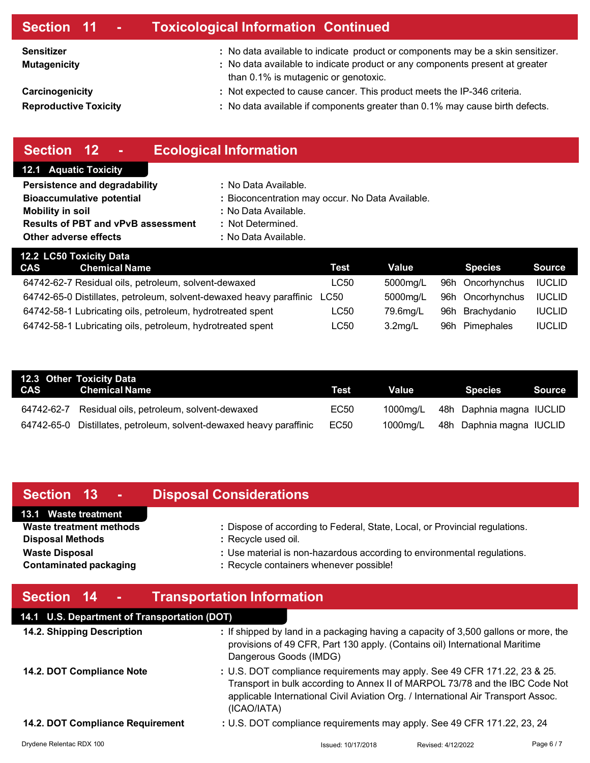### **Section 11 - Toxicological Information Continued**

**Sensitizer : Mutagenicity :** 

**Carcinogenicity :** 

**Reproductive Toxicity :** 

- No data available to indicate product or components may be a skin sensitizer.
- No data available to indicate product or any components present at greater than 0.1% is mutagenic or genotoxic.
	- Not expected to cause cancer. This product meets the IP-346 criteria.
	- No data available if components greater than 0.1% may cause birth defects.

## **Section 12 - Ecological Information**

#### **12.1 Aquatic Toxicity**

| Persistence and degradability             | : No Data Available.                             |
|-------------------------------------------|--------------------------------------------------|
| <b>Bioaccumulative potential</b>          | : Bioconcentration may occur. No Data Available. |
| <b>Mobility in soil</b>                   | : No Data Available.                             |
| <b>Results of PBT and vPvB assessment</b> | : Not Determined.                                |

**Other adverse effects** : No Data Available.

| 12.2 LC50 Toxicity Data |                                                                     |      |            |                  |               |
|-------------------------|---------------------------------------------------------------------|------|------------|------------------|---------------|
| <b>CAS</b>              | <b>Chemical Name</b>                                                | Test | Value      | <b>Species</b>   | <b>Source</b> |
|                         | 64742-62-7 Residual oils, petroleum, solvent-dewaxed                | LC50 | 5000mg/L   | 96h Oncorhynchus | <b>IUCLID</b> |
|                         | 64742-65-0 Distillates, petroleum, solvent-dewaxed heavy paraffinic | LC50 | 5000mg/L   | 96h Oncorhynchus | <b>IUCLID</b> |
|                         | 64742-58-1 Lubricating oils, petroleum, hydrotreated spent          | LC50 | 79.6ma/L   | 96h Brachydanio  | <b>IUCLID</b> |
|                         | 64742-58-1 Lubricating oils, petroleum, hydrotreated spent          | LC50 | $3.2$ mg/L | 96h Pimephales   | <b>IUCLID</b> |

| 12.3 Other Toxicity Data<br><b>CAS</b> Chemical Name                | Test | Value    | Species                  | Source |
|---------------------------------------------------------------------|------|----------|--------------------------|--------|
| 64742-62-7 Residual oils, petroleum, solvent-dewaxed                | EC50 | 1000mg/L | 48h Daphnia magna IUCLID |        |
| 64742-65-0 Distillates, petroleum, solvent-dewaxed heavy paraffinic | EC50 | 1000mg/L | 48h Daphnia magna IUCLID |        |

# **Section 13 - Disposal Considerations**

#### **13.1 Waste treatment**

- **Disposal Methods :** Recycle used oil.
- **Waste treatment methods :** Dispose of according to Federal, State, Local, or Provincial regulations. **Waste Disposal <b>Waste** Disposal **intervalled in the US** is non-hazardous according to environmental regulations.
- **Contaminated packaging <b>bi Recycle containers whenever possible!**

## **Section 14 - Transportation Information**

## **14.1 U.S. Department of Transportation (DOT)**

| 14.2. Shipping Description       | : If shipped by land in a packaging having a capacity of 3,500 gallons or more, the<br>provisions of 49 CFR, Part 130 apply. (Contains oil) International Maritime<br>Dangerous Goods (IMDG)                                                                  |
|----------------------------------|---------------------------------------------------------------------------------------------------------------------------------------------------------------------------------------------------------------------------------------------------------------|
| 14.2. DOT Compliance Note        | : U.S. DOT compliance requirements may apply. See 49 CFR 171.22, 23 & 25.<br>Transport in bulk according to Annex II of MARPOL 73/78 and the IBC Code Not<br>applicable International Civil Aviation Org. / International Air Transport Assoc.<br>(ICAO/IATA) |
| 14.2. DOT Compliance Requirement | : U.S. DOT compliance requirements may apply. See 49 CFR 171.22, 23, 24                                                                                                                                                                                       |